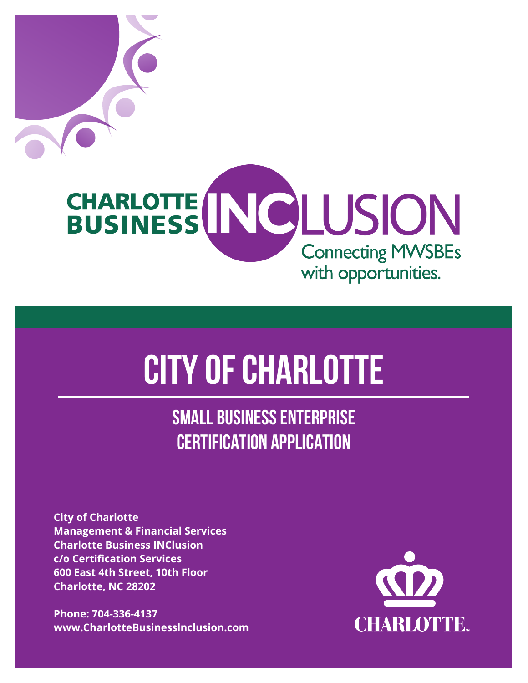

**CITY OF CHARLOTTE**

**SMALL BUSINESS ENTERPRISE CERTIFICATION APPLICATION**

**City of Charlotte Management & Financial Services Charlotte Business INClusion c/o Certification Services 600 East 4th Street, 10th Floor Charlotte, NC 28202**

**Phone: 704-336-4137 www.CharlotteBusinesslnclusion.com**

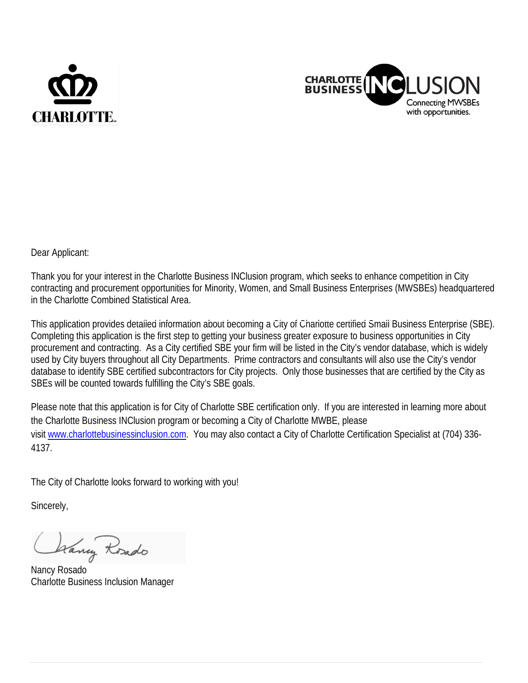



Dear Applicant:

Thank you for your interest in the Charlotte Business INClusion program, which seeks to enhance competition in City contracting and procurement opportunities for Minority, Women, and Small Business Enterprises (MWSBEs) headquartered in the Charlotte Combined Statistical Area.

This application provides detailed information about becoming a City of Charlotte certified Small Business Enterprise (SBE). Completing this application is the first step to getting your business greater exposure to business opportunities in City procurement and contracting. As a City certified SBE your firm will be listed in the City's vendor database, which is widely used by City buyers throughout all City Departments. Prime contractors and consultants will also use the City's vendor database to identify SBE certified subcontractors for City projects. Only those businesses that are certified by the City as SBEs will be counted towards fulfilling the City's SBE goals.

Please note that this application is for City of Charlotte SBE certification only. If you are interested in learning more about the Charlotte Business INClusion program or becoming a City of Charlotte MWBE, please visit [www.charlottebusinessincl](http://www.charlottebusinessinc/)usion.com. You may also contact a City of Charlotte Certification Specialist at (704) 336- 4137.

The City of Charlotte looks forward to working with you!

Sincerely,

Wany Roado

Nancy Rosado Charlotte Business Inclusion Manager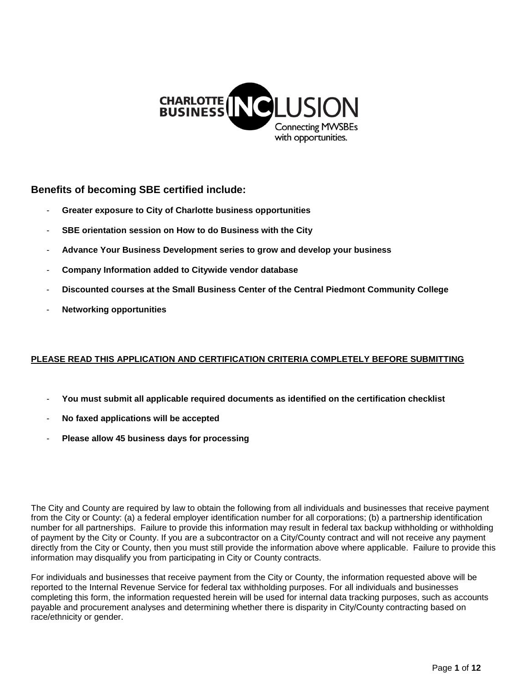

# **Benefits of becoming SBE certified include:**

- **Greater exposure to City of Charlotte business opportunities**
- **SBE orientation session on How to do Business with the City**
- **Advance Your Business Development series to grow and develop your business**
- **Company Information added to Citywide vendor database**
- **Discounted courses at the Small Business Center of the Central Piedmont Community College**
- **Networking opportunities**

# **PLEASE READ THIS APPLICATION AND CERTIFICATION CRITERIA COMPLETELY BEFORE SUBMITTING**

- **You must submit all applicable required documents as identified on the certification checklist**
- **No faxed applications will be accepted**
- **Please allow 45 business days for processing**

The City and County are required by law to obtain the following from all individuals and businesses that receive payment from the City or County: (a) a federal employer identification number for all corporations; (b) a partnership identification number for all partnerships. Failure to provide this information may result in federal tax backup withholding or withholding of payment by the City or County. If you are a subcontractor on a City/County contract and will not receive any payment directly from the City or County, then you must still provide the information above where applicable. Failure to provide this information may disqualify you from participating in City or County contracts.

For individuals and businesses that receive payment from the City or County, the information requested above will be reported to the Internal Revenue Service for federal tax withholding purposes. For all individuals and businesses completing this form, the information requested herein will be used for internal data tracking purposes, such as accounts payable and procurement analyses and determining whether there is disparity in City/County contracting based on race/ethnicity or gender.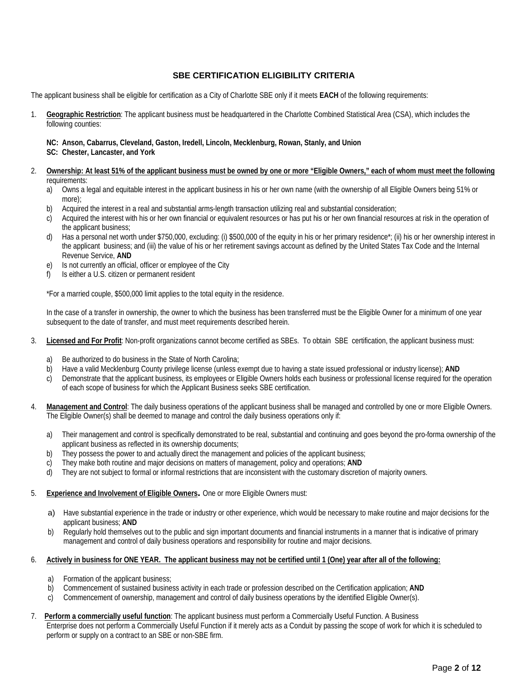## **SBE CERTIFICATION ELIGIBILITY CRITERIA**

The applicant business shall be eligible for certification as a City of Charlotte SBE only if it meets **EACH** of the following requirements:

1. **Geographic Restriction**: The applicant business must be headquartered in the Charlotte Combined Statistical Area (CSA), which includes the following counties:

## **NC: Anson, Cabarrus, Cleveland, Gaston, Iredell, Lincoln, Mecklenburg, Rowan, Stanly, and Union**

**SC: Chester, Lancaster, and York** 

- 2. **Ownership: At least 51% of the applicant business must be owned by one or more "Eligible Owners," each of whom must meet the following** requirements:
	- a) Owns a legal and equitable interest in the applicant business in his or her own name (with the ownership of all Eligible Owners being 51% or more);
	- b) Acquired the interest in a real and substantial arms-length transaction utilizing real and substantial consideration;
	- c) Acquired the interest with his or her own financial or equivalent resources or has put his or her own financial resources at risk in the operation of the applicant business;
	- d) Has a personal net worth under \$750,000, excluding: (i) \$500,000 of the equity in his or her primary residence\*; (ii) his or her ownership interest in the applicant business; and (iii) the value of his or her retirement savings account as defined by the United States Tax Code and the Internal Revenue Service, **AND**
	- e) Is not currently an official, officer or employee of the City
	- f) Is either a U.S. citizen or permanent resident

\*For a married couple, \$500,000 limit applies to the total equity in the residence.

In the case of a transfer in ownership, the owner to which the business has been transferred must be the Eligible Owner for a minimum of one year subsequent to the date of transfer, and must meet requirements described herein.

- 3. **Licensed and For Profit**: Non-profit organizations cannot become certified as SBEs. To obtain SBE certification, the applicant business must:
	- a) Be authorized to do business in the State of North Carolina;
	- b) Have a valid Mecklenburg County privilege license (unless exempt due to having a state issued professional or industry license); **AND**
	- c) Demonstrate that the applicant business, its employees or Eligible Owners holds each business or professional license required for the operation of each scope of business for which the Applicant Business seeks SBE certification.
- 4. **Management and Control**: The daily business operations of the applicant business shall be managed and controlled by one or more Eligible Owners. The Eligible Owner(s) shall be deemed to manage and control the daily business operations only if:
	- a) Their management and control is specifically demonstrated to be real, substantial and continuing and goes beyond the pro-forma ownership of the applicant business as reflected in its ownership documents;
	- b) They possess the power to and actually direct the management and policies of the applicant business;
	- c) They make both routine and major decisions on matters of management, policy and operations; **AND**
	- d) They are not subject to formal or informal restrictions that are inconsistent with the customary discretion of majority owners.

## 5. **Experience and Involvement of Eligible Owners.** One or more Eligible Owners must:

- a) Have substantial experience in the trade or industry or other experience, which would be necessary to make routine and major decisions for the applicant business; **AND**
- b) Regularly hold themselves out to the public and sign important documents and financial instruments in a manner that is indicative of primary management and control of daily business operations and responsibility for routine and major decisions.

#### 6. **Actively in business for ONE YEAR. The applicant business may not be certified until 1 (One) year after all of the following:**

- a) Formation of the applicant business;
- b) Commencement of sustained business activity in each trade or profession described on the Certification application; **AND**
- c) Commencement of ownership, management and control of daily business operations by the identified Eligible Owner(s).
- 7. **Perform a commercially useful function**: The applicant business must perform a Commercially Useful Function. A Business

Enterprise does not perform a Commercially Useful Function if it merely acts as a Conduit by passing the scope of work for which it is scheduled to perform or supply on a contract to an SBE or non-SBE firm.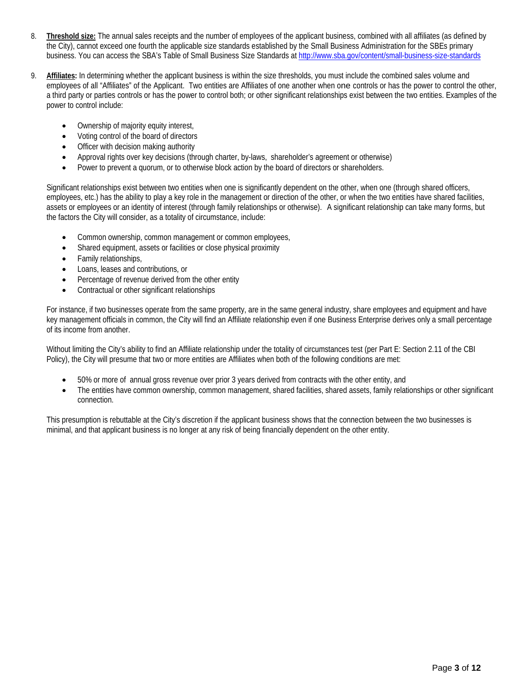- 8. **Threshold size:** The annual sales receipts and the number of employees of the applicant business, combined with all affiliates (as defined by the City), cannot exceed one fourth the applicable size standards established by the Small Business Administration for the SBEs primary business. You can access the SBA's Table of Small Business Size Standards a[t http://www.sba.gov/content/small-business-size-standards](http://www.sba.gov/content/small-business-size-standards)
- 9. **Affiliates:** In determining whether the applicant business is within the size thresholds, you must include the combined sales volume and employees of all "Affiliates" of the Applicant. Two entities are Affiliates of one another when one controls or has the power to control the other, a third party or parties controls or has the power to control both; or other significant relationships exist between the two entities. Examples of the power to control include:
	- Ownership of majority equity interest,
	- Voting control of the board of directors
	- Officer with decision making authority
	- Approval rights over key decisions (through charter, by-laws, shareholder's agreement or otherwise)
	- Power to prevent a quorum, or to otherwise block action by the board of directors or shareholders.

Significant relationships exist between two entities when one is significantly dependent on the other, when one (through shared officers, employees, etc.) has the ability to play a key role in the management or direction of the other, or when the two entities have shared facilities, assets or employees or an identity of interest (through family relationships or otherwise). A significant relationship can take many forms, but the factors the City will consider, as a totality of circumstance, include:

- Common ownership, common management or common employees,
- Shared equipment, assets or facilities or close physical proximity
- Family relationships,
- Loans, leases and contributions, or
- Percentage of revenue derived from the other entity
- Contractual or other significant relationships

For instance, if two businesses operate from the same property, are in the same general industry, share employees and equipment and have key management officials in common, the City will find an Affiliate relationship even if one Business Enterprise derives only a small percentage of its income from another.

Without limiting the City's ability to find an Affiliate relationship under the totality of circumstances test (per Part E: Section 2.11 of the CBI Policy), the City will presume that two or more entities are Affiliates when both of the following conditions are met:

- 50% or more of annual gross revenue over prior 3 years derived from contracts with the other entity, and
- The entities have common ownership, common management, shared facilities, shared assets, family relationships or other significant connection.

This presumption is rebuttable at the City's discretion if the applicant business shows that the connection between the two businesses is minimal, and that applicant business is no longer at any risk of being financially dependent on the other entity.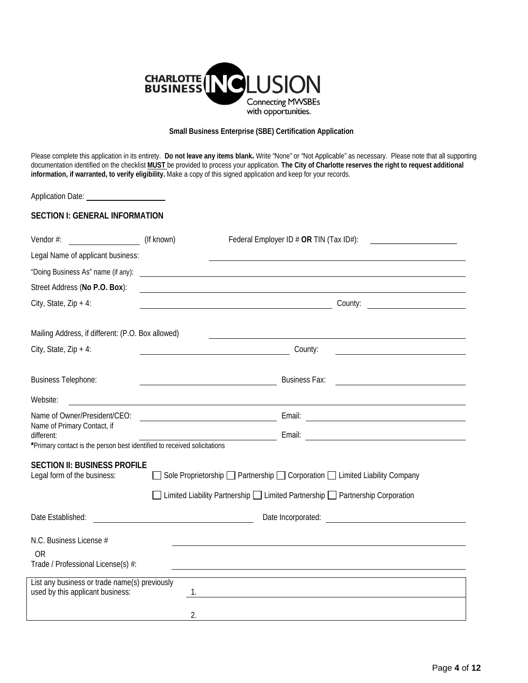

#### **Small Business Enterprise (SBE) Certification Application**

Please complete this application in its entirety. **Do not leave any items blank.** Write "None" or "Not Applicable" as necessary. Please note that all supporting documentation identified on the checklist **MUST** be provided to process your application. **The City of Charlotte reserves the right to request additional information, if warranted, to verify eligibility.** Make a copy of this signed application and keep for your records.

| <b>SECTION I: GENERAL INFORMATION</b>                                             |            |                                                                                                                                   |  |  |  |
|-----------------------------------------------------------------------------------|------------|-----------------------------------------------------------------------------------------------------------------------------------|--|--|--|
| Vendor #:                                                                         | (If known) |                                                                                                                                   |  |  |  |
| Legal Name of applicant business:                                                 |            |                                                                                                                                   |  |  |  |
| "Doing Business As" name (if any):                                                |            | <u> 1980 - Jan Samuel Barbara, poeta esperanto-poeta esperanto-poeta esperanto-poeta esperanto-poeta esperanto-po</u>             |  |  |  |
| Street Address (No P.O. Box):                                                     |            |                                                                                                                                   |  |  |  |
| City, State, $Zip + 4$ :                                                          |            | <u> 1989 - Johann Barnett, fransk politik (d. 1989)</u>                                                                           |  |  |  |
| Mailing Address, if different: (P.O. Box allowed)                                 |            |                                                                                                                                   |  |  |  |
| City, State, $Zip + 4$ :                                                          |            | County:<br><u> 1989 - John Stein, mars and de Branch and de Branch and de Branch and de Branch and de Branch and de Branch an</u> |  |  |  |
| <b>Business Telephone:</b>                                                        |            | <b>Business Fax:</b><br><u> 1980 - Johann Stoff, fransk politik (d. 1980)</u>                                                     |  |  |  |
| Website:                                                                          |            |                                                                                                                                   |  |  |  |
| Name of Owner/President/CEO:                                                      |            |                                                                                                                                   |  |  |  |
| Name of Primary Contact, if<br>different:                                         |            |                                                                                                                                   |  |  |  |
| *Primary contact is the person best identified to received solicitations          |            |                                                                                                                                   |  |  |  |
| <b>SECTION II: BUSINESS PROFILE</b><br>Legal form of the business:                |            | ◯ Sole Proprietorship ◯ Partnership ◯ Corporation ◯ Limited Liability Company                                                     |  |  |  |
|                                                                                   |            | □ Limited Liability Partnership □ Limited Partnership □ Partnership Corporation                                                   |  |  |  |
| Date Established:                                                                 |            | Date Incorporated:<br><u> 1989 - Jan Barbarat, prima politik politik (</u>                                                        |  |  |  |
| N.C. Business License #                                                           |            |                                                                                                                                   |  |  |  |
| ΟR<br>Trade / Professional License(s) #:                                          |            |                                                                                                                                   |  |  |  |
| List any business or trade name(s) previously<br>used by this applicant business: | 1.         |                                                                                                                                   |  |  |  |
|                                                                                   | 2.         |                                                                                                                                   |  |  |  |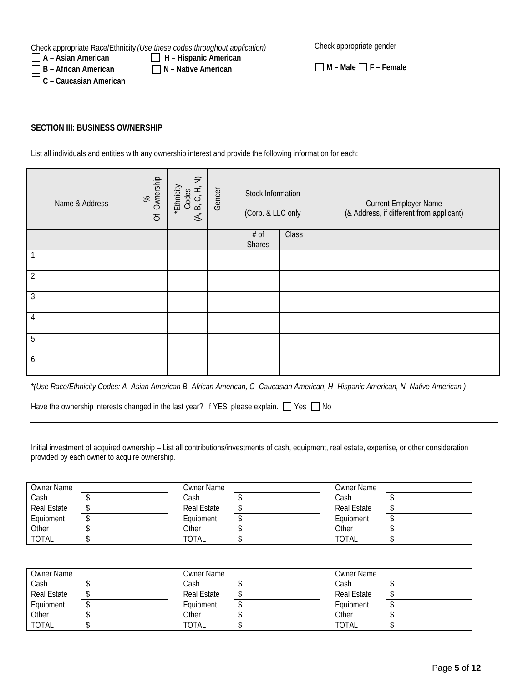Check appropriate Race/Ethnicity *(Use these codes throughout application)*

Check appropriate gender

□ B – African American III N – Native American

**C – Caucasian American**

**A – Asian American H – Hispanic American**

**M – Male F – Female** 

**SECTION III: BUSINESS OWNERSHIP** 

List all individuals and entities with any ownership interest and provide the following information for each:

| Name & Address | Of Ownership<br>8 <sup>o</sup> | $\widehat{\mathbb{Z}}$<br>*Ethnicity<br>B, C, H,<br>Codes<br>$\leq$ | Gender | Stock Information<br>(Corp. & LLC only |       | <b>Current Employer Name</b><br>(& Address, if different from applicant) |
|----------------|--------------------------------|---------------------------------------------------------------------|--------|----------------------------------------|-------|--------------------------------------------------------------------------|
|                |                                |                                                                     |        | # of<br>Shares                         | Class |                                                                          |
| 1.             |                                |                                                                     |        |                                        |       |                                                                          |
| 2.             |                                |                                                                     |        |                                        |       |                                                                          |
| 3.             |                                |                                                                     |        |                                        |       |                                                                          |
| 4.             |                                |                                                                     |        |                                        |       |                                                                          |
| 5.             |                                |                                                                     |        |                                        |       |                                                                          |
| 6.             |                                |                                                                     |        |                                        |       |                                                                          |

*\*(Use Race/Ethnicity Codes: A- Asian American B- African American, C- Caucasian American, H- Hispanic American, N- Native American )*

Have the ownership interests changed in the last year? If YES, please explain.  $\Box$  Yes  $\Box$  No

Initial investment of acquired ownership – List all contributions/investments of cash, equipment, real estate, expertise, or other consideration provided by each owner to acquire ownership.

| <b>Owner Name</b>  | Owner Name         | <b>Owner Name</b>  |  |
|--------------------|--------------------|--------------------|--|
| Cash               | Cash               | Cash               |  |
| <b>Real Estate</b> | <b>Real Estate</b> | <b>Real Estate</b> |  |
| Equipment          | Equipment          | Equipment          |  |
| Other              | Other              | Other              |  |
| <b>TOTAL</b>       | <b>TOTAL</b>       | <b>TOTAL</b>       |  |

| <b>Owner Name</b>  | Owner Name         | <b>Owner Name</b> |  |
|--------------------|--------------------|-------------------|--|
| Cash               | Cash               | Cash              |  |
| <b>Real Estate</b> | <b>Real Estate</b> | Real Estate       |  |
| Equipment          | Equipment          | Equipment         |  |
| Other              | Other              | Other             |  |
| <b>TOTAL</b>       | <b>TOTAL</b>       | <b>TOTAL</b>      |  |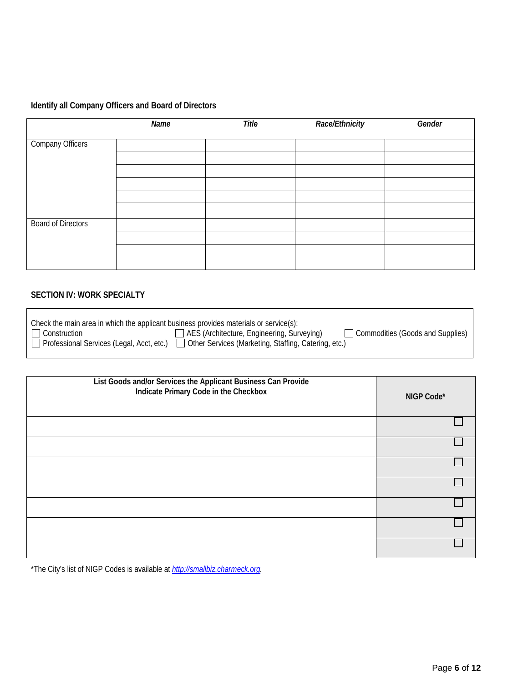# **Identify all Company Officers and Board of Directors**

|                           | Name | Title | Race/Ethnicity | Gender |
|---------------------------|------|-------|----------------|--------|
| Company Officers          |      |       |                |        |
|                           |      |       |                |        |
|                           |      |       |                |        |
|                           |      |       |                |        |
|                           |      |       |                |        |
|                           |      |       |                |        |
| <b>Board of Directors</b> |      |       |                |        |
|                           |      |       |                |        |
|                           |      |       |                |        |
|                           |      |       |                |        |

# **SECTION IV: WORK SPECIALTY**

| List Goods and/or Services the Applicant Business Can Provide<br>Indicate Primary Code in the Checkbox | NIGP Code* |
|--------------------------------------------------------------------------------------------------------|------------|
|                                                                                                        |            |
|                                                                                                        |            |
|                                                                                                        |            |
|                                                                                                        |            |
|                                                                                                        |            |
|                                                                                                        |            |
|                                                                                                        |            |

\*The City's list of NIGP Codes is available at *[http://smallbiz.charmeck.org.](http://smallbiz.charmeck.org/)*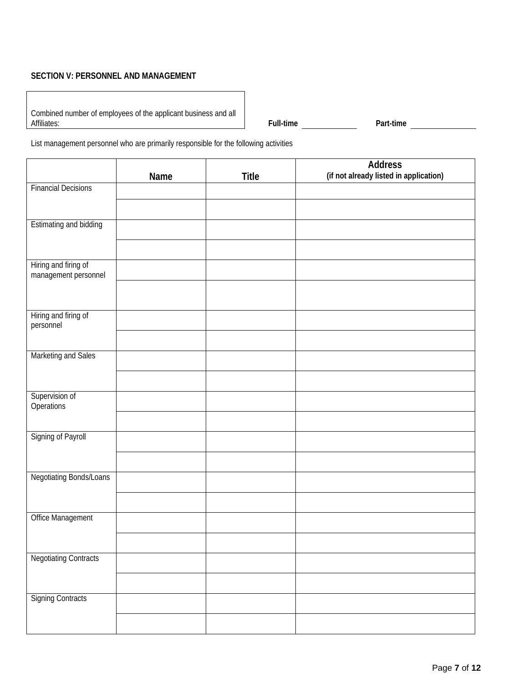## **SECTION V: PERSONNEL AND MANAGEMENT**

| Combined number of employees of the applicant business and all |  |
|----------------------------------------------------------------|--|
| Affiliates:                                                    |  |

Full-time **Full-time Part-time Part-time** 

List management personnel who are primarily responsible for the following activities

|                                              | Name | <b>Title</b> | <b>Address</b><br>(if not already listed in application) |
|----------------------------------------------|------|--------------|----------------------------------------------------------|
| <b>Financial Decisions</b>                   |      |              |                                                          |
|                                              |      |              |                                                          |
| <b>Estimating and bidding</b>                |      |              |                                                          |
|                                              |      |              |                                                          |
| Hiring and firing of<br>management personnel |      |              |                                                          |
|                                              |      |              |                                                          |
| Hiring and firing of<br>personnel            |      |              |                                                          |
|                                              |      |              |                                                          |
| Marketing and Sales                          |      |              |                                                          |
|                                              |      |              |                                                          |
| Supervision of<br>Operations                 |      |              |                                                          |
| Signing of Payroll                           |      |              |                                                          |
|                                              |      |              |                                                          |
|                                              |      |              |                                                          |
| Negotiating Bonds/Loans                      |      |              |                                                          |
|                                              |      |              |                                                          |
| Office Management                            |      |              |                                                          |
|                                              |      |              |                                                          |
| <b>Negotiating Contracts</b>                 |      |              |                                                          |
|                                              |      |              |                                                          |
| <b>Signing Contracts</b>                     |      |              |                                                          |
|                                              |      |              |                                                          |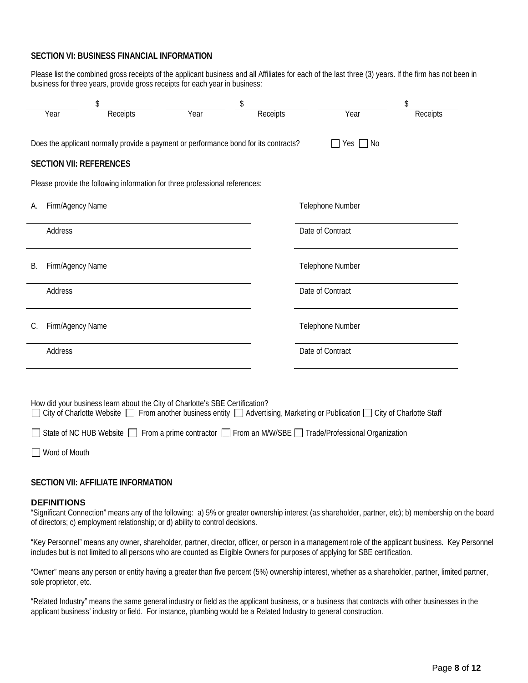## **SECTION VI: BUSINESS FINANCIAL INFORMATION**

Please list the combined gross receipts of the applicant business and all Affiliates for each of the last three (3) years. If the firm has not been in business for three years, provide gross receipts for each year in business:

|                                                                                      |                                |          | \$                                                                           |          |                                                                                                                            |          |
|--------------------------------------------------------------------------------------|--------------------------------|----------|------------------------------------------------------------------------------|----------|----------------------------------------------------------------------------------------------------------------------------|----------|
|                                                                                      | Year                           | Receipts | Year                                                                         | Receipts | Year                                                                                                                       | Receipts |
| Does the applicant normally provide a payment or performance bond for its contracts? |                                |          |                                                                              |          |                                                                                                                            |          |
|                                                                                      | <b>SECTION VII: REFERENCES</b> |          |                                                                              |          |                                                                                                                            |          |
|                                                                                      |                                |          | Please provide the following information for three professional references:  |          |                                                                                                                            |          |
| А.                                                                                   | Firm/Agency Name               |          |                                                                              |          | Telephone Number                                                                                                           |          |
|                                                                                      | Address                        |          |                                                                              |          | Date of Contract                                                                                                           |          |
| В.                                                                                   | Firm/Agency Name               |          |                                                                              |          | Telephone Number                                                                                                           |          |
|                                                                                      | Address                        |          |                                                                              |          | Date of Contract                                                                                                           |          |
| C.                                                                                   | Firm/Agency Name               |          |                                                                              |          | Telephone Number                                                                                                           |          |
|                                                                                      | Address                        |          |                                                                              |          | Date of Contract                                                                                                           |          |
|                                                                                      |                                |          |                                                                              |          |                                                                                                                            |          |
|                                                                                      |                                |          | How did your business learn about the City of Charlotte's SBE Certification? |          | City of Charlotte Website □ From another business entity □ Advertising, Marketing or Publication □ City of Charlotte Staff |          |
|                                                                                      |                                |          |                                                                              |          | State of NC HUB Website □ From a prime contractor □ From an M/W/SBE □ Trade/Professional Organization                      |          |

Word of Mouth

## **SECTION VII: AFFILIATE INFORMATION**

#### **DEFINITIONS**

"Significant Connection" means any of the following: a) 5% or greater ownership interest (as shareholder, partner, etc); b) membership on the board of directors; c) employment relationship; or d) ability to control decisions.

"Key Personnel" means any owner, shareholder, partner, director, officer, or person in a management role of the applicant business. Key Personnel includes but is not limited to all persons who are counted as Eligible Owners for purposes of applying for SBE certification.

"Owner" means any person or entity having a greater than five percent (5%) ownership interest, whether as a shareholder, partner, limited partner, sole proprietor, etc.

"Related Industry" means the same general industry or field as the applicant business, or a business that contracts with other businesses in the applicant business' industry or field. For instance, plumbing would be a Related Industry to general construction.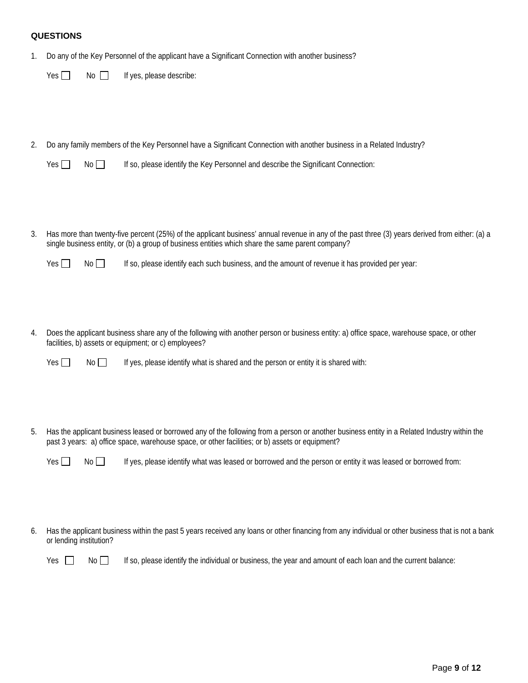## **QUESTIONS**

1. Do any of the Key Personnel of the applicant have a Significant Connection with another business?

|    | Yes $\Box$ | No II | If yes, please describe:                                                                                                                                                                                                                            |
|----|------------|-------|-----------------------------------------------------------------------------------------------------------------------------------------------------------------------------------------------------------------------------------------------------|
|    |            |       |                                                                                                                                                                                                                                                     |
|    |            |       |                                                                                                                                                                                                                                                     |
| 2. |            |       | Do any family members of the Key Personnel have a Significant Connection with another business in a Related Industry?                                                                                                                               |
|    | Yes $\Box$ | No    | If so, please identify the Key Personnel and describe the Significant Connection:                                                                                                                                                                   |
|    |            |       |                                                                                                                                                                                                                                                     |
|    |            |       |                                                                                                                                                                                                                                                     |
|    |            |       |                                                                                                                                                                                                                                                     |
| 3. |            |       | Has more than twenty-five percent (25%) of the applicant business' annual revenue in any of the past three (3) years derived from either: (a) a<br>single business entity, or (b) a group of business entities which share the same parent company? |
|    | Yes $\Box$ | No    | If so, please identify each such business, and the amount of revenue it has provided per year:                                                                                                                                                      |
|    |            |       |                                                                                                                                                                                                                                                     |
|    |            |       |                                                                                                                                                                                                                                                     |
|    |            |       |                                                                                                                                                                                                                                                     |

4. Does the applicant business share any of the following with another person or business entity: a) office space, warehouse space, or other facilities, b) assets or equipment; or c) employees?

| Yes $\Gamma$ | No II |  | If yes, please identify what is shared and the person or entity it is shared with: |  |  |  |
|--------------|-------|--|------------------------------------------------------------------------------------|--|--|--|
|--------------|-------|--|------------------------------------------------------------------------------------|--|--|--|

5. Has the applicant business leased or borrowed any of the following from a person or another business entity in a Related Industry within the past 3 years: a) office space, warehouse space, or other facilities; or b) assets or equipment?

|  |  | Yes $\Box$ No $\Box$ If yes, please identify what was leased or borrowed and the person or entity it was leased or borrowed from: |  |  |
|--|--|-----------------------------------------------------------------------------------------------------------------------------------|--|--|
|--|--|-----------------------------------------------------------------------------------------------------------------------------------|--|--|

6. Has the applicant business within the past 5 years received any loans or other financing from any individual or other business that is not a bank or lending institution?

 $Yes \Box \qquad No \Box$  If so, please identify the individual or business, the year and amount of each loan and the current balance: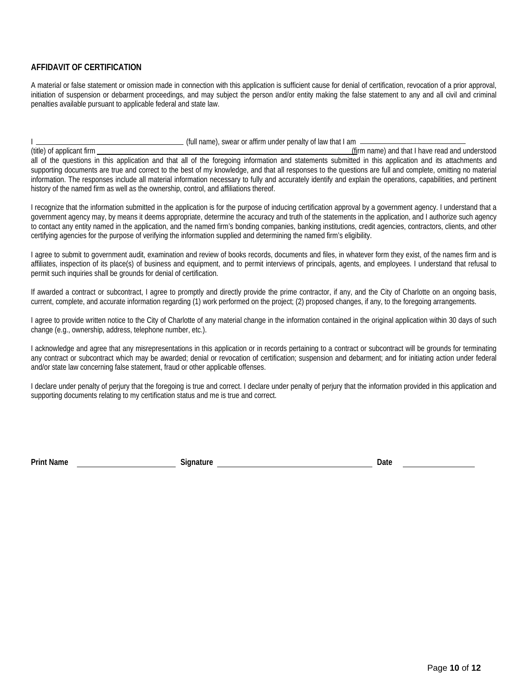## **AFFIDAVIT OF CERTIFICATION**

A material or false statement or omission made in connection with this application is sufficient cause for denial of certification, revocation of a prior approval, initiation of suspension or debarment proceedings, and may subject the person and/or entity making the false statement to any and all civil and criminal penalties available pursuant to applicable federal and state law.

I (full name), swear or affirm under penalty of law that I am (firm name) and that I have read and understood all of the questions in this application and that all of the foregoing information and statements submitted in this application and its attachments and supporting documents are true and correct to the best of my knowledge, and that all responses to the questions are full and complete, omitting no material information. The responses include all material information necessary to fully and accurately identify and explain the operations, capabilities, and pertinent history of the named firm as well as the ownership, control, and affiliations thereof.

I recognize that the information submitted in the application is for the purpose of inducing certification approval by a government agency. I understand that a government agency may, by means it deems appropriate, determine the accuracy and truth of the statements in the application, and I authorize such agency to contact any entity named in the application, and the named firm's bonding companies, banking institutions, credit agencies, contractors, clients, and other certifying agencies for the purpose of verifying the information supplied and determining the named firm's eligibility.

I agree to submit to government audit, examination and review of books records, documents and files, in whatever form they exist, of the names firm and is affiliates, inspection of its place(s) of business and equipment, and to permit interviews of principals, agents, and employees. I understand that refusal to permit such inquiries shall be grounds for denial of certification.

If awarded a contract or subcontract, I agree to promptly and directly provide the prime contractor, if any, and the City of Charlotte on an ongoing basis, current, complete, and accurate information regarding (1) work performed on the project; (2) proposed changes, if any, to the foregoing arrangements.

I agree to provide written notice to the City of Charlotte of any material change in the information contained in the original application within 30 days of such change (e.g., ownership, address, telephone number, etc.).

I acknowledge and agree that any misrepresentations in this application or in records pertaining to a contract or subcontract will be grounds for terminating any contract or subcontract which may be awarded; denial or revocation of certification; suspension and debarment; and for initiating action under federal and/or state law concerning false statement, fraud or other applicable offenses.

I declare under penalty of perjury that the foregoing is true and correct. I declare under penalty of perjury that the information provided in this application and supporting documents relating to my certification status and me is true and correct.

**Print Name Signature Date**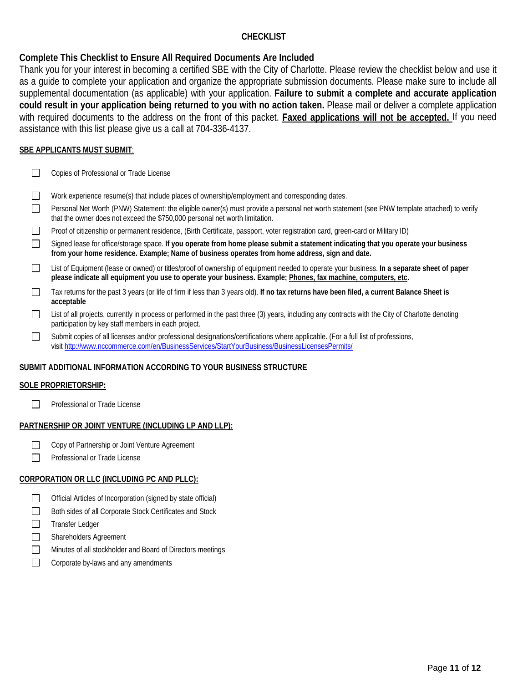## **CHECKLIST**

# **Complete This Checklist to Ensure All Required Documents Are Included**

Thank you for your interest in becoming a certified SBE with the City of Charlotte. Please review the checklist below and use it as a guide to complete your application and organize the appropriate submission documents. Please make sure to include all supplemental documentation (as applicable) with your application. **Failure to submit a complete and accurate application could result in your application being returned to you with no action taken.** Please mail or deliver a complete application with required documents to the address on the front of this packet. **Faxed applications will not be accepted.** If you need assistance with this list please give us a call at 704-336-4137.

## **SBE APPLICANTS MUST SUBMIT**:

- $\Box$ Copies of Professional or Trade License
- $\Box$ Work experience resume(s) that include places of ownership/employment and corresponding dates.
- $\Box$ Personal Net Worth (PNW) Statement: the eligible owner(s) must provide a personal net worth statement (see PNW template attached) to verify that the owner does not exceed the \$750,000 personal net worth limitation.
- $\Box$ Proof of citizenship or permanent residence, (Birth Certificate, passport, voter registration card, green-card or Military ID)
- $\Box$ Signed lease for office/storage space. **If you operate from home please submit a statement indicating that you operate your business from your home residence. Example; Name of business operates from home address, sign and date.**
- $\Box$ List of Equipment (lease or owned) or titles/proof of ownership of equipment needed to operate your business. **In a separate sheet of paper please indicate all equipment you use to operate your business. Example; Phones, fax machine, computers, etc.**
- Tax returns for the past 3 years (or life of firm if less than 3 years old). **If no tax returns have been filed, a current Balance Sheet is**   $\Box$ **acceptable**
- List of all projects, currently in process or performed in the past three (3) years, including any contracts with the City of Charlotte denoting  $\Box$ participation by key staff members in each project.
- $\Box$ Submit copies of all licenses and/or professional designations/certifications where applicable. (For a full list of professions, visit <http://www.nccommerce.com/en/BusinessServices/StartYourBusiness/BusinessLicensesPermits/>

## **SUBMIT ADDITIONAL INFORMATION ACCORDING TO YOUR BUSINESS STRUCTURE**

## **SOLE PROPRIETORSHIP:**

 $\Box$ Professional or Trade License

## **PARTNERSHIP OR JOINT VENTURE (INCLUDING LP AND LLP):**

- $\Box$ Copy of Partnership or Joint Venture Agreement
- $\Box$ Professional or Trade License

## **CORPORATION OR LLC (INCLUDING PC AND PLLC):**

- $\Box$ Official Articles of Incorporation (signed by state official)
- $\Box$ Both sides of all Corporate Stock Certificates and Stock
- П Transfer Ledger
- П Shareholders Agreement
- $\Box$ Minutes of all stockholder and Board of Directors meetings
- $\Box$ Corporate by-laws and any amendments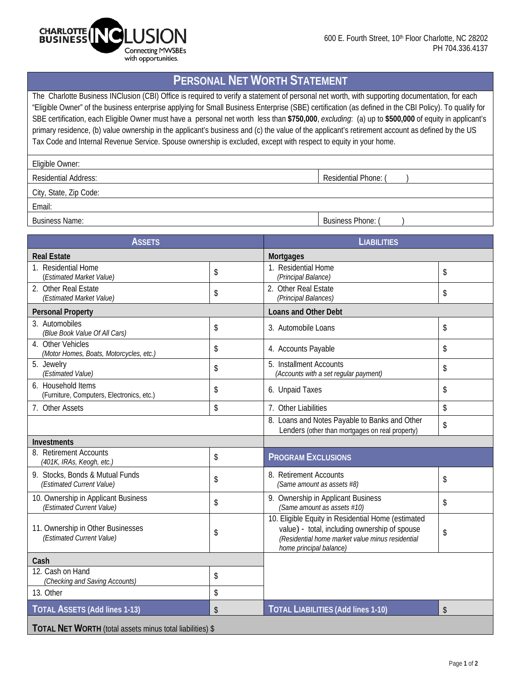

# **PERSONAL NET WORTH STATEMENT**

The Charlotte Business INClusion (CBI) Office is required to verify a statement of personal net worth, with supporting documentation, for each "Eligible Owner" of the business enterprise applying for Small Business Enterprise (SBE) certification (as defined in the CBI Policy). To qualify for SBE certification, each Eligible Owner must have a personal net worth less than **\$750,000**, *excluding*: (a) up to **\$500,000** of equity in applicant's primary residence, (b) value ownership in the applicant's business and (c) the value of the applicant's retirement account as defined by the US Tax Code and Internal Revenue Service. Spouse ownership is excluded, except with respect to equity in your home.

| Eligible Owner: |  |
|-----------------|--|
|-----------------|--|

Residential Address: Network and Security and Security and Security and Security and Security and Security and Security and Security and Security and Security and Security and Security and Security and Security and Securit

City, State, Zip Code:

Email:

Business Name: Business Phone: ( ) and  $\overline{B}$  Business Phone: ( ) and  $\overline{B}$  Business Phone: ( ) and  $\overline{B}$  and  $\overline{B}$  and  $\overline{B}$  and  $\overline{B}$  and  $\overline{B}$  and  $\overline{B}$  and  $\overline{B}$  and  $\overline{B}$  and  $\overline{B}$  and

| <b>ASSETS</b>                                                    |    | <b>LIABILITIES</b>                                                                                                                                                                 |                         |  |  |  |
|------------------------------------------------------------------|----|------------------------------------------------------------------------------------------------------------------------------------------------------------------------------------|-------------------------|--|--|--|
| <b>Real Estate</b>                                               |    | <b>Mortgages</b>                                                                                                                                                                   |                         |  |  |  |
| 1. Residential Home<br>(Estimated Market Value)                  | \$ | 1. Residential Home<br>(Principal Balance)                                                                                                                                         | \$                      |  |  |  |
| 2. Other Real Estate<br>(Estimated Market Value)                 | \$ | 2. Other Real Estate<br>(Principal Balances)                                                                                                                                       | \$                      |  |  |  |
| <b>Personal Property</b>                                         |    | Loans and Other Debt                                                                                                                                                               |                         |  |  |  |
| 3. Automobiles<br>(Blue Book Value Of All Cars)                  | \$ | 3. Automobile Loans                                                                                                                                                                | \$                      |  |  |  |
| 4. Other Vehicles<br>(Motor Homes, Boats, Motorcycles, etc.)     | \$ | 4. Accounts Payable                                                                                                                                                                | \$                      |  |  |  |
| 5. Jewelry<br>(Estimated Value)                                  | \$ | 5. Installment Accounts<br>(Accounts with a set regular payment)                                                                                                                   | \$                      |  |  |  |
| 6. Household Items<br>(Furniture, Computers, Electronics, etc.)  | \$ | 6. Unpaid Taxes                                                                                                                                                                    | \$                      |  |  |  |
| 7. Other Assets                                                  | \$ | 7. Other Liabilities                                                                                                                                                               | \$                      |  |  |  |
|                                                                  |    | 8. Loans and Notes Payable to Banks and Other<br>Lenders (other than mortgages on real property)                                                                                   | \$                      |  |  |  |
| Investments                                                      |    |                                                                                                                                                                                    |                         |  |  |  |
| 8. Retirement Accounts<br>(401K, IRAs, Keogh, etc.)              | \$ | <b>PROGRAM EXCLUSIONS</b>                                                                                                                                                          |                         |  |  |  |
| 9. Stocks, Bonds & Mutual Funds<br>(Estimated Current Value)     | \$ | 8. Retirement Accounts<br>(Same amount as assets #8)                                                                                                                               | \$                      |  |  |  |
| 10. Ownership in Applicant Business<br>(Estimated Current Value) | \$ | 9. Ownership in Applicant Business<br>(Same amount as assets #10)                                                                                                                  | \$                      |  |  |  |
| 11. Ownership in Other Businesses<br>(Estimated Current Value)   | \$ | 10. Eligible Equity in Residential Home (estimated<br>value) - total, including ownership of spouse<br>(Residential home market value minus residential<br>home principal balance) | \$                      |  |  |  |
| Cash                                                             |    |                                                                                                                                                                                    |                         |  |  |  |
| 12. Cash on Hand<br>(Checking and Saving Accounts)               | \$ |                                                                                                                                                                                    |                         |  |  |  |
| 13. Other                                                        | \$ |                                                                                                                                                                                    |                         |  |  |  |
| <b>TOTAL ASSETS (Add lines 1-13)</b>                             | \$ | <b>TOTAL LIABILITIES (Add lines 1-10)</b>                                                                                                                                          | $\sqrt[6]{\frac{1}{2}}$ |  |  |  |
| TOTAL NET WORTH (total assets minus total liabilities) \$        |    |                                                                                                                                                                                    |                         |  |  |  |